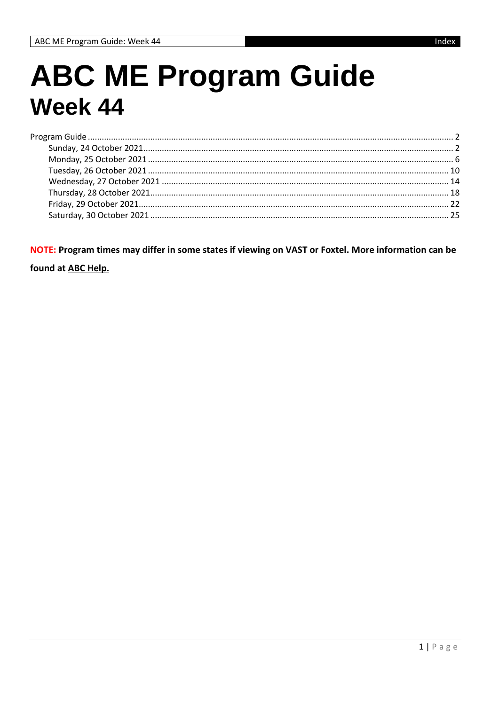## **ABC ME Program Guide Week 44**

NOTE: Program times may differ in some states if viewing on VAST or Foxtel. More information can be

found at ABC Help.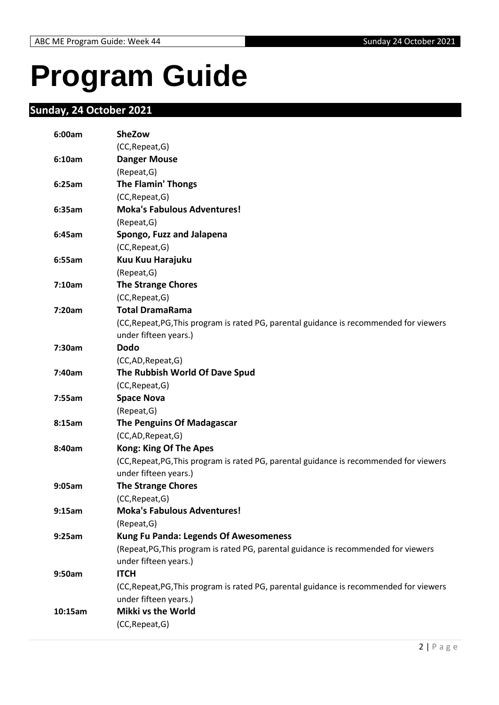# <span id="page-1-0"></span>**Program Guide**

#### <span id="page-1-1"></span>**Sunday, 24 October 2021**

| 6:00am  | <b>SheZow</b>                                                                           |
|---------|-----------------------------------------------------------------------------------------|
|         | (CC, Repeat, G)                                                                         |
| 6:10am  | <b>Danger Mouse</b>                                                                     |
|         | (Repeat, G)                                                                             |
| 6:25am  | <b>The Flamin' Thongs</b>                                                               |
|         | (CC, Repeat, G)                                                                         |
| 6:35am  | <b>Moka's Fabulous Adventures!</b>                                                      |
|         | (Repeat, G)                                                                             |
| 6:45am  | Spongo, Fuzz and Jalapena                                                               |
|         | (CC, Repeat, G)                                                                         |
| 6:55am  | Kuu Kuu Harajuku                                                                        |
|         | (Repeat, G)                                                                             |
| 7:10am  | <b>The Strange Chores</b>                                                               |
|         | (CC, Repeat, G)                                                                         |
| 7:20am  | <b>Total DramaRama</b>                                                                  |
|         | (CC, Repeat, PG, This program is rated PG, parental guidance is recommended for viewers |
|         | under fifteen years.)                                                                   |
| 7:30am  | <b>Dodo</b>                                                                             |
|         | (CC,AD,Repeat,G)                                                                        |
| 7:40am  | The Rubbish World Of Dave Spud                                                          |
|         | (CC, Repeat, G)                                                                         |
| 7:55am  | <b>Space Nova</b>                                                                       |
|         | (Repeat, G)                                                                             |
| 8:15am  | <b>The Penguins Of Madagascar</b>                                                       |
|         | (CC,AD,Repeat,G)                                                                        |
| 8:40am  | <b>Kong: King Of The Apes</b>                                                           |
|         | (CC, Repeat, PG, This program is rated PG, parental guidance is recommended for viewers |
|         | under fifteen years.)                                                                   |
| 9:05am  | <b>The Strange Chores</b>                                                               |
|         | (CC, Repeat, G)                                                                         |
| 9:15am  | <b>Moka's Fabulous Adventures!</b>                                                      |
|         | (Repeat, G)                                                                             |
| 9:25am  | <b>Kung Fu Panda: Legends Of Awesomeness</b>                                            |
|         | (Repeat, PG, This program is rated PG, parental guidance is recommended for viewers     |
|         | under fifteen years.)                                                                   |
| 9:50am  | <b>ITCH</b>                                                                             |
|         | (CC, Repeat, PG, This program is rated PG, parental guidance is recommended for viewers |
|         | under fifteen years.)                                                                   |
| 10:15am | Mikki vs the World                                                                      |
|         | (CC, Repeat, G)                                                                         |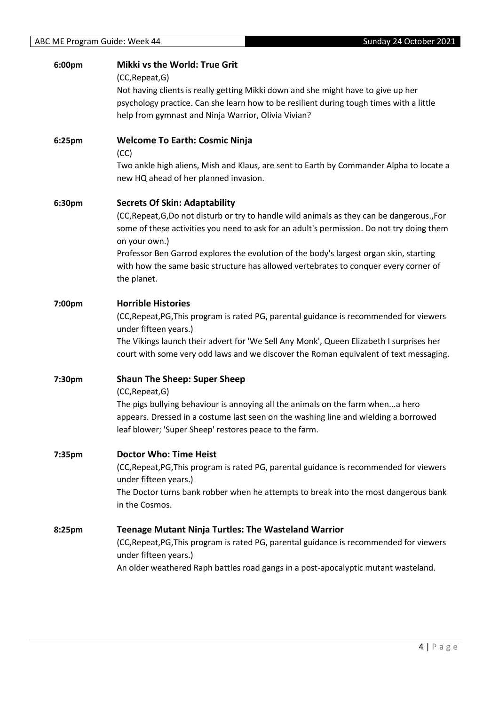| 6:00pm | <b>Mikki vs the World: True Grit</b>                                                                             |
|--------|------------------------------------------------------------------------------------------------------------------|
|        | (CC, Repeat, G)                                                                                                  |
|        | Not having clients is really getting Mikki down and she might have to give up her                                |
|        | psychology practice. Can she learn how to be resilient during tough times with a little                          |
|        | help from gymnast and Ninja Warrior, Olivia Vivian?                                                              |
| 6:25pm | <b>Welcome To Earth: Cosmic Ninja</b>                                                                            |
|        | (CC)                                                                                                             |
|        | Two ankle high aliens, Mish and Klaus, are sent to Earth by Commander Alpha to locate a                          |
|        | new HQ ahead of her planned invasion.                                                                            |
| 6:30pm | <b>Secrets Of Skin: Adaptability</b>                                                                             |
|        | (CC, Repeat, G, Do not disturb or try to handle wild animals as they can be dangerous., For                      |
|        | some of these activities you need to ask for an adult's permission. Do not try doing them<br>on your own.)       |
|        | Professor Ben Garrod explores the evolution of the body's largest organ skin, starting                           |
|        | with how the same basic structure has allowed vertebrates to conquer every corner of                             |
|        | the planet.                                                                                                      |
| 7:00pm | <b>Horrible Histories</b>                                                                                        |
|        | (CC, Repeat, PG, This program is rated PG, parental guidance is recommended for viewers                          |
|        | under fifteen years.)                                                                                            |
|        | The Vikings launch their advert for 'We Sell Any Monk', Queen Elizabeth I surprises her                          |
|        | court with some very odd laws and we discover the Roman equivalent of text messaging.                            |
| 7:30pm | <b>Shaun The Sheep: Super Sheep</b>                                                                              |
|        | (CC, Repeat, G)                                                                                                  |
|        | The pigs bullying behaviour is annoying all the animals on the farm whena hero                                   |
|        | appears. Dressed in a costume last seen on the washing line and wielding a borrowed                              |
|        | leaf blower; 'Super Sheep' restores peace to the farm.                                                           |
| 7:35pm | <b>Doctor Who: Time Heist</b>                                                                                    |
|        | (CC, Repeat, PG, This program is rated PG, parental guidance is recommended for viewers                          |
|        | under fifteen years.)                                                                                            |
|        | The Doctor turns bank robber when he attempts to break into the most dangerous bank                              |
|        | in the Cosmos.                                                                                                   |
| 8:25pm | <b>Teenage Mutant Ninja Turtles: The Wasteland Warrior</b>                                                       |
|        | (CC, Repeat, PG, This program is rated PG, parental guidance is recommended for viewers<br>under fifteen years.) |
|        | An older weathered Raph battles road gangs in a post-apocalyptic mutant wasteland.                               |
|        |                                                                                                                  |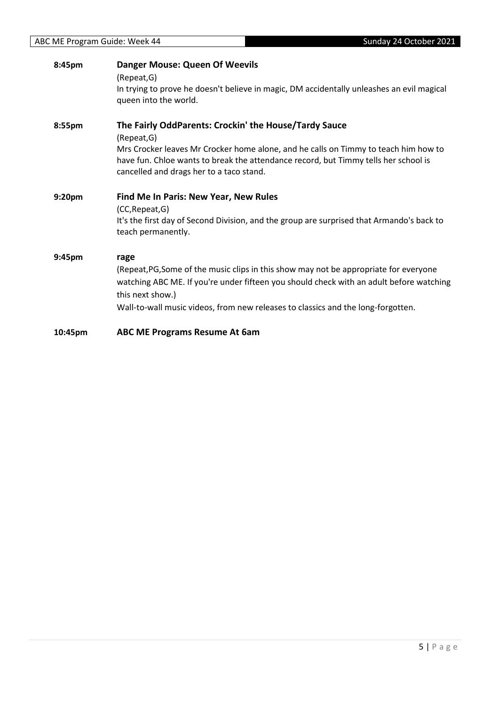| 8:45pm  | <b>Danger Mouse: Queen Of Weevils</b><br>(Repeat, G)                                                                                                                                                 |
|---------|------------------------------------------------------------------------------------------------------------------------------------------------------------------------------------------------------|
|         | In trying to prove he doesn't believe in magic, DM accidentally unleashes an evil magical<br>queen into the world.                                                                                   |
| 8:55pm  | The Fairly OddParents: Crockin' the House/Tardy Sauce<br>(Repeat, G)<br>Mrs Crocker leaves Mr Crocker home alone, and he calls on Timmy to teach him how to                                          |
|         | have fun. Chloe wants to break the attendance record, but Timmy tells her school is<br>cancelled and drags her to a taco stand.                                                                      |
| 9:20pm  | <b>Find Me In Paris: New Year, New Rules</b>                                                                                                                                                         |
|         | (CC, Repeat, G)<br>It's the first day of Second Division, and the group are surprised that Armando's back to<br>teach permanently.                                                                   |
| 9:45pm  | rage                                                                                                                                                                                                 |
|         | (Repeat, PG, Some of the music clips in this show may not be appropriate for everyone<br>watching ABC ME. If you're under fifteen you should check with an adult before watching<br>this next show.) |
|         | Wall-to-wall music videos, from new releases to classics and the long-forgotten.                                                                                                                     |
| 10:45pm | <b>ABC ME Programs Resume At 6am</b>                                                                                                                                                                 |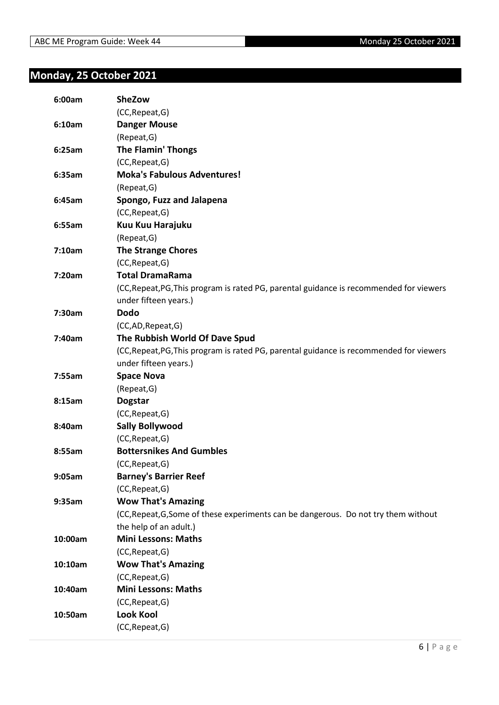#### <span id="page-5-0"></span>**Monday, 25 October 2021**

| 6:00am  | <b>SheZow</b>                                                                           |
|---------|-----------------------------------------------------------------------------------------|
|         | (CC, Repeat, G)                                                                         |
| 6:10am  | <b>Danger Mouse</b>                                                                     |
|         | (Repeat, G)                                                                             |
| 6:25am  | <b>The Flamin' Thongs</b>                                                               |
|         | (CC, Repeat, G)                                                                         |
| 6:35am  | <b>Moka's Fabulous Adventures!</b>                                                      |
|         | (Repeat, G)                                                                             |
| 6:45am  | Spongo, Fuzz and Jalapena                                                               |
|         | (CC, Repeat, G)                                                                         |
| 6:55am  | Kuu Kuu Harajuku                                                                        |
|         | (Repeat, G)                                                                             |
| 7:10am  | <b>The Strange Chores</b>                                                               |
|         | (CC, Repeat, G)                                                                         |
| 7:20am  | <b>Total DramaRama</b>                                                                  |
|         | (CC, Repeat, PG, This program is rated PG, parental guidance is recommended for viewers |
|         | under fifteen years.)                                                                   |
| 7:30am  | <b>Dodo</b>                                                                             |
|         | (CC,AD,Repeat,G)                                                                        |
| 7:40am  | The Rubbish World Of Dave Spud                                                          |
|         | (CC, Repeat, PG, This program is rated PG, parental guidance is recommended for viewers |
|         | under fifteen years.)                                                                   |
| 7:55am  | <b>Space Nova</b>                                                                       |
|         | (Repeat, G)                                                                             |
| 8:15am  | <b>Dogstar</b>                                                                          |
|         | (CC, Repeat, G)                                                                         |
| 8:40am  | <b>Sally Bollywood</b>                                                                  |
|         | (CC, Repeat, G)                                                                         |
| 8:55am  | <b>Bottersnikes And Gumbles</b>                                                         |
|         | (CC, Repeat, G)                                                                         |
| 9:05am  | <b>Barney's Barrier Reef</b>                                                            |
|         | (CC, Repeat, G)                                                                         |
| 9:35am  | <b>Wow That's Amazing</b>                                                               |
|         | (CC, Repeat, G, Some of these experiments can be dangerous. Do not try them without     |
|         | the help of an adult.)                                                                  |
| 10:00am | <b>Mini Lessons: Maths</b>                                                              |
|         | (CC, Repeat, G)                                                                         |
| 10:10am | <b>Wow That's Amazing</b>                                                               |
|         | (CC, Repeat, G)                                                                         |
| 10:40am | <b>Mini Lessons: Maths</b>                                                              |
|         | (CC, Repeat, G)                                                                         |
| 10:50am | <b>Look Kool</b>                                                                        |
|         | (CC, Repeat, G)                                                                         |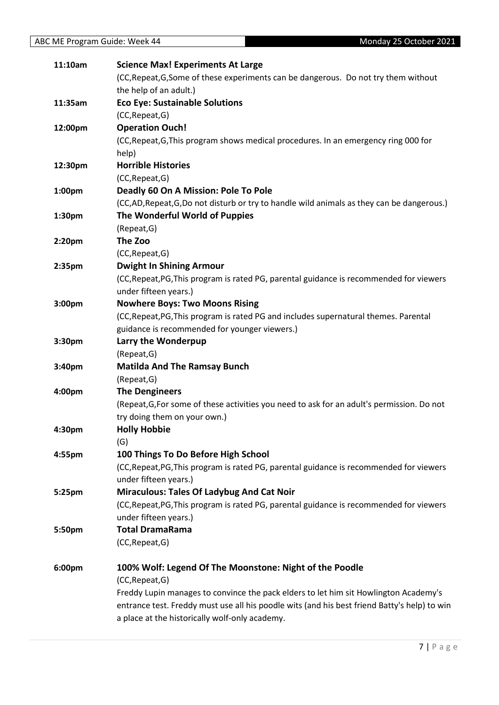| 11:10am            | <b>Science Max! Experiments At Large</b>                                                     |
|--------------------|----------------------------------------------------------------------------------------------|
|                    | (CC, Repeat, G, Some of these experiments can be dangerous. Do not try them without          |
|                    | the help of an adult.)                                                                       |
| 11:35am            | <b>Eco Eye: Sustainable Solutions</b>                                                        |
|                    | (CC, Repeat, G)                                                                              |
| 12:00pm            | <b>Operation Ouch!</b>                                                                       |
|                    | (CC, Repeat, G, This program shows medical procedures. In an emergency ring 000 for          |
|                    | help)                                                                                        |
| 12:30pm            | <b>Horrible Histories</b>                                                                    |
|                    | (CC, Repeat, G)                                                                              |
| 1:00pm             | Deadly 60 On A Mission: Pole To Pole                                                         |
|                    | (CC,AD, Repeat, G,Do not disturb or try to handle wild animals as they can be dangerous.)    |
| 1:30pm             | The Wonderful World of Puppies                                                               |
|                    | (Repeat, G)                                                                                  |
| 2:20pm             | The Zoo                                                                                      |
|                    | (CC, Repeat, G)                                                                              |
| 2:35pm             | <b>Dwight In Shining Armour</b>                                                              |
|                    | (CC, Repeat, PG, This program is rated PG, parental guidance is recommended for viewers      |
|                    | under fifteen years.)                                                                        |
| 3:00pm             | <b>Nowhere Boys: Two Moons Rising</b>                                                        |
|                    | (CC, Repeat, PG, This program is rated PG and includes supernatural themes. Parental         |
|                    | guidance is recommended for younger viewers.)                                                |
| 3:30pm             | Larry the Wonderpup                                                                          |
|                    | (Repeat, G)                                                                                  |
| 3:40pm             | <b>Matilda And The Ramsay Bunch</b>                                                          |
|                    | (Repeat, G)                                                                                  |
| 4:00pm             | <b>The Dengineers</b>                                                                        |
|                    | (Repeat, G, For some of these activities you need to ask for an adult's permission. Do not   |
|                    | try doing them on your own.)                                                                 |
| 4:30 <sub>pm</sub> | <b>Holly Hobbie</b>                                                                          |
|                    | (G)                                                                                          |
| 4:55pm             | 100 Things To Do Before High School                                                          |
|                    | (CC, Repeat, PG, This program is rated PG, parental guidance is recommended for viewers      |
|                    | under fifteen years.)                                                                        |
| 5:25pm             | <b>Miraculous: Tales Of Ladybug And Cat Noir</b>                                             |
|                    | (CC, Repeat, PG, This program is rated PG, parental guidance is recommended for viewers      |
|                    | under fifteen years.)                                                                        |
| 5:50pm             | <b>Total DramaRama</b>                                                                       |
|                    | (CC, Repeat, G)                                                                              |
| 6:00pm             | 100% Wolf: Legend Of The Moonstone: Night of the Poodle                                      |
|                    | (CC, Repeat, G)                                                                              |
|                    | Freddy Lupin manages to convince the pack elders to let him sit Howlington Academy's         |
|                    | entrance test. Freddy must use all his poodle wits (and his best friend Batty's help) to win |
|                    | a place at the historically wolf-only academy.                                               |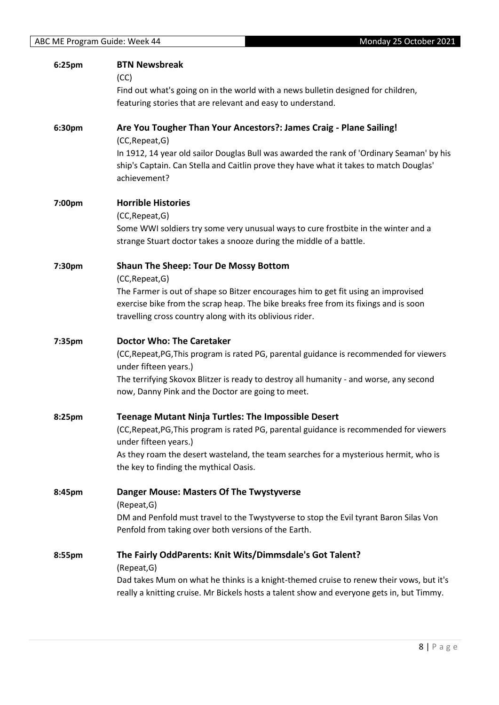|        | <b>BTN Newsbreak</b>                                                                                                                                                                                                                   |
|--------|----------------------------------------------------------------------------------------------------------------------------------------------------------------------------------------------------------------------------------------|
|        | (CC)<br>Find out what's going on in the world with a news bulletin designed for children,                                                                                                                                              |
|        | featuring stories that are relevant and easy to understand.                                                                                                                                                                            |
|        |                                                                                                                                                                                                                                        |
| 6:30pm | Are You Tougher Than Your Ancestors?: James Craig - Plane Sailing!<br>(CC, Repeat, G)                                                                                                                                                  |
|        | In 1912, 14 year old sailor Douglas Bull was awarded the rank of 'Ordinary Seaman' by his<br>ship's Captain. Can Stella and Caitlin prove they have what it takes to match Douglas'<br>achievement?                                    |
| 7:00pm | <b>Horrible Histories</b><br>(CC, Repeat, G)                                                                                                                                                                                           |
|        | Some WWI soldiers try some very unusual ways to cure frostbite in the winter and a<br>strange Stuart doctor takes a snooze during the middle of a battle.                                                                              |
| 7:30pm | <b>Shaun The Sheep: Tour De Mossy Bottom</b><br>(CC, Repeat, G)                                                                                                                                                                        |
|        | The Farmer is out of shape so Bitzer encourages him to get fit using an improvised<br>exercise bike from the scrap heap. The bike breaks free from its fixings and is soon<br>travelling cross country along with its oblivious rider. |
|        |                                                                                                                                                                                                                                        |
|        |                                                                                                                                                                                                                                        |
| 7:35pm | <b>Doctor Who: The Caretaker</b><br>(CC, Repeat, PG, This program is rated PG, parental guidance is recommended for viewers                                                                                                            |
|        | under fifteen years.)<br>The terrifying Skovox Blitzer is ready to destroy all humanity - and worse, any second<br>now, Danny Pink and the Doctor are going to meet.                                                                   |
|        |                                                                                                                                                                                                                                        |
| 8:25pm | <b>Teenage Mutant Ninja Turtles: The Impossible Desert</b><br>(CC, Repeat, PG, This program is rated PG, parental guidance is recommended for viewers                                                                                  |
|        | under fifteen years.)<br>As they roam the desert wasteland, the team searches for a mysterious hermit, who is                                                                                                                          |
|        | the key to finding the mythical Oasis.                                                                                                                                                                                                 |
| 8:45pm | <b>Danger Mouse: Masters Of The Twystyverse</b>                                                                                                                                                                                        |
|        | (Repeat, G)<br>DM and Penfold must travel to the Twystyverse to stop the Evil tyrant Baron Silas Von<br>Penfold from taking over both versions of the Earth.                                                                           |
| 8:55pm | The Fairly OddParents: Knit Wits/Dimmsdale's Got Talent?<br>(Repeat, G)                                                                                                                                                                |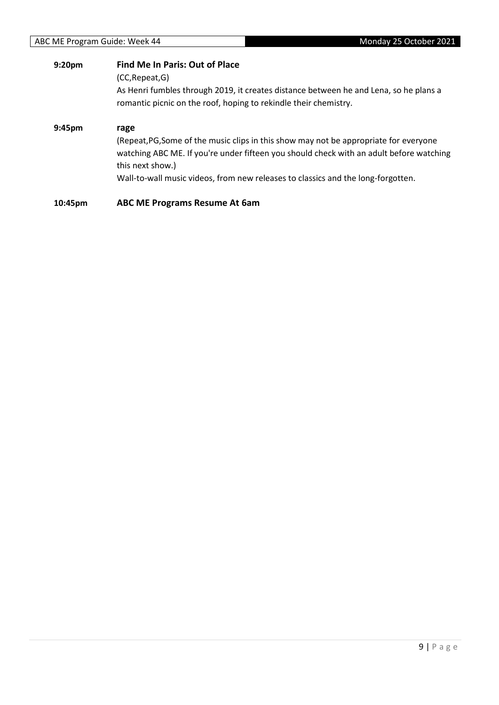| 9:20pm  | <b>Find Me In Paris: Out of Place</b><br>(CC, Repeat, G)<br>As Henri fumbles through 2019, it creates distance between he and Lena, so he plans a                                                                                                                                                |
|---------|--------------------------------------------------------------------------------------------------------------------------------------------------------------------------------------------------------------------------------------------------------------------------------------------------|
|         | romantic picnic on the roof, hoping to rekindle their chemistry.                                                                                                                                                                                                                                 |
| 9:45pm  | rage<br>(Repeat, PG, Some of the music clips in this show may not be appropriate for everyone<br>watching ABC ME. If you're under fifteen you should check with an adult before watching<br>this next show.)<br>Wall-to-wall music videos, from new releases to classics and the long-forgotten. |
| 10:45pm | <b>ABC ME Programs Resume At 6am</b>                                                                                                                                                                                                                                                             |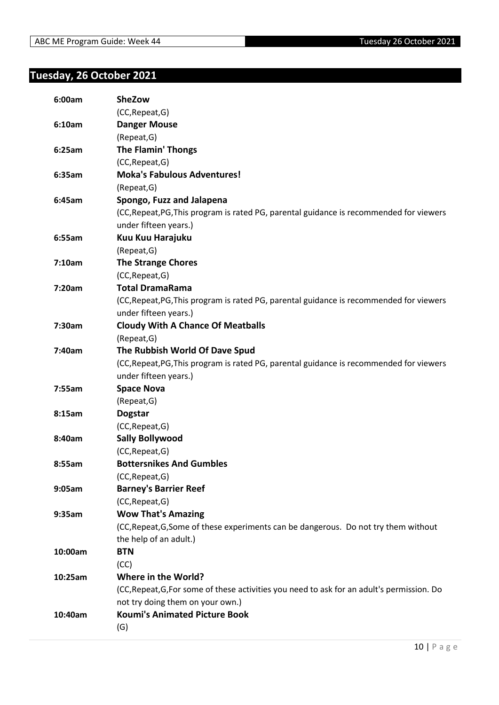#### <span id="page-9-0"></span>**Tuesday, 26 October 2021**

| 6:00am  | <b>SheZow</b>                                                                              |
|---------|--------------------------------------------------------------------------------------------|
|         | (CC, Repeat, G)                                                                            |
| 6:10am  | <b>Danger Mouse</b>                                                                        |
|         | (Repeat, G)                                                                                |
| 6:25am  | <b>The Flamin' Thongs</b>                                                                  |
|         | (CC, Repeat, G)                                                                            |
| 6:35am  | <b>Moka's Fabulous Adventures!</b>                                                         |
|         | (Repeat, G)                                                                                |
| 6:45am  | Spongo, Fuzz and Jalapena                                                                  |
|         | (CC, Repeat, PG, This program is rated PG, parental guidance is recommended for viewers    |
|         | under fifteen years.)                                                                      |
| 6:55am  | Kuu Kuu Harajuku                                                                           |
|         | (Repeat, G)                                                                                |
| 7:10am  | <b>The Strange Chores</b>                                                                  |
|         | (CC, Repeat, G)                                                                            |
| 7:20am  | <b>Total DramaRama</b>                                                                     |
|         | (CC, Repeat, PG, This program is rated PG, parental guidance is recommended for viewers    |
|         | under fifteen years.)                                                                      |
| 7:30am  | <b>Cloudy With A Chance Of Meatballs</b>                                                   |
|         | (Repeat, G)                                                                                |
| 7:40am  | The Rubbish World Of Dave Spud                                                             |
|         | (CC, Repeat, PG, This program is rated PG, parental guidance is recommended for viewers    |
|         | under fifteen years.)                                                                      |
| 7:55am  | <b>Space Nova</b>                                                                          |
|         | (Repeat, G)                                                                                |
| 8:15am  | <b>Dogstar</b>                                                                             |
|         | (CC, Repeat, G)                                                                            |
| 8:40am  | <b>Sally Bollywood</b>                                                                     |
|         | (CC, Repeat, G)                                                                            |
| 8:55am  | <b>Bottersnikes And Gumbles</b>                                                            |
|         | (CC, Repeat, G)                                                                            |
| 9:05am  | <b>Barney's Barrier Reef</b>                                                               |
|         | (CC, Repeat, G)                                                                            |
| 9:35am  | <b>Wow That's Amazing</b>                                                                  |
|         | (CC, Repeat, G, Some of these experiments can be dangerous. Do not try them without        |
|         | the help of an adult.)                                                                     |
| 10:00am | <b>BTN</b>                                                                                 |
|         | (CC)                                                                                       |
| 10:25am | Where in the World?                                                                        |
|         | (CC, Repeat, G, For some of these activities you need to ask for an adult's permission. Do |
|         | not try doing them on your own.)                                                           |
| 10:40am | <b>Koumi's Animated Picture Book</b>                                                       |
|         | (G)                                                                                        |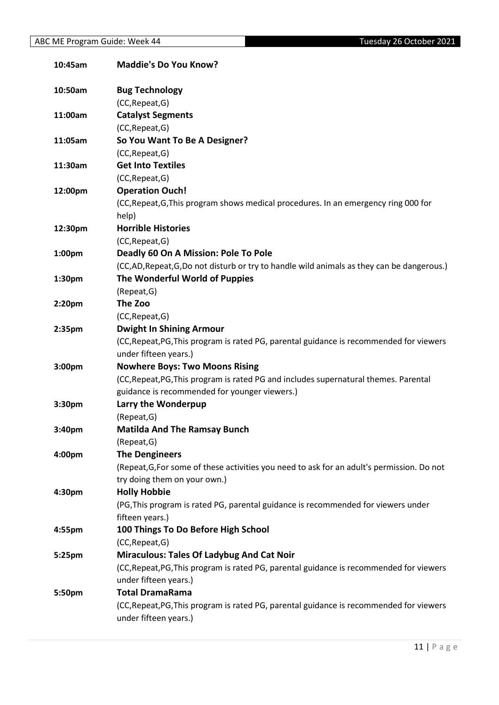| 10:45am            | <b>Maddie's Do You Know?</b>                                                               |
|--------------------|--------------------------------------------------------------------------------------------|
| 10:50am            | <b>Bug Technology</b>                                                                      |
|                    | (CC, Repeat, G)                                                                            |
| 11:00am            | <b>Catalyst Segments</b>                                                                   |
|                    | (CC, Repeat, G)                                                                            |
| 11:05am            | So You Want To Be A Designer?                                                              |
|                    | (CC, Repeat, G)                                                                            |
| 11:30am            | <b>Get Into Textiles</b>                                                                   |
|                    | (CC, Repeat, G)                                                                            |
| 12:00pm            | <b>Operation Ouch!</b>                                                                     |
|                    | (CC, Repeat, G, This program shows medical procedures. In an emergency ring 000 for        |
|                    | help)                                                                                      |
| 12:30pm            | <b>Horrible Histories</b>                                                                  |
|                    | (CC, Repeat, G)                                                                            |
| 1:00pm             | Deadly 60 On A Mission: Pole To Pole                                                       |
|                    | (CC,AD, Repeat, G,Do not disturb or try to handle wild animals as they can be dangerous.)  |
| 1:30pm             | The Wonderful World of Puppies                                                             |
|                    | (Repeat, G)                                                                                |
| 2:20 <sub>pm</sub> | The Zoo                                                                                    |
|                    | (CC, Repeat, G)                                                                            |
| 2:35 <sub>pm</sub> | <b>Dwight In Shining Armour</b>                                                            |
|                    | (CC, Repeat, PG, This program is rated PG, parental guidance is recommended for viewers    |
|                    | under fifteen years.)                                                                      |
| 3:00pm             | <b>Nowhere Boys: Two Moons Rising</b>                                                      |
|                    | (CC, Repeat, PG, This program is rated PG and includes supernatural themes. Parental       |
|                    | guidance is recommended for younger viewers.)                                              |
| 3:30pm             | Larry the Wonderpup                                                                        |
|                    | (Repeat, G)                                                                                |
| 3:40pm             | <b>Matilda And The Ramsay Bunch</b>                                                        |
|                    | (Repeat, G)                                                                                |
| 4:00pm             | <b>The Dengineers</b>                                                                      |
|                    | (Repeat, G, For some of these activities you need to ask for an adult's permission. Do not |
|                    | try doing them on your own.)                                                               |
| 4:30pm             | <b>Holly Hobbie</b>                                                                        |
|                    | (PG, This program is rated PG, parental guidance is recommended for viewers under          |
|                    | fifteen years.)                                                                            |
| 4:55pm             | 100 Things To Do Before High School                                                        |
|                    | (CC, Repeat, G)                                                                            |
| 5:25pm             | <b>Miraculous: Tales Of Ladybug And Cat Noir</b>                                           |
|                    | (CC, Repeat, PG, This program is rated PG, parental guidance is recommended for viewers    |
| 5:50pm             | under fifteen years.)<br><b>Total DramaRama</b>                                            |
|                    | (CC, Repeat, PG, This program is rated PG, parental guidance is recommended for viewers    |
|                    | under fifteen years.)                                                                      |
|                    |                                                                                            |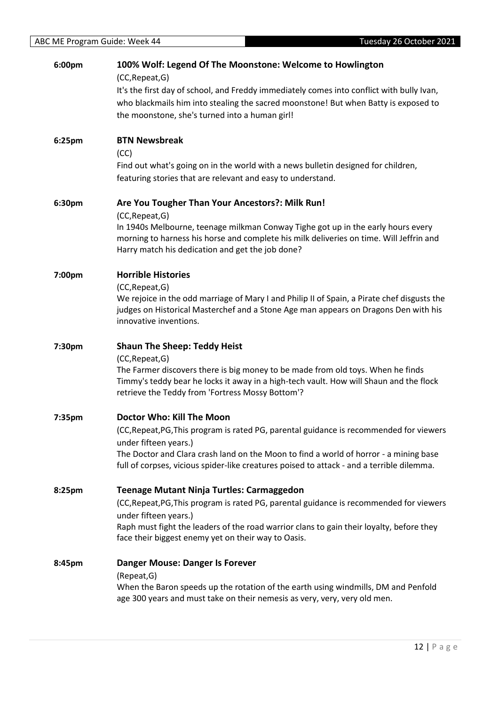|        | 100% Wolf: Legend Of The Moonstone: Welcome to Howlington<br>(CC, Repeat, G)                                                                                                                                                  |
|--------|-------------------------------------------------------------------------------------------------------------------------------------------------------------------------------------------------------------------------------|
|        | It's the first day of school, and Freddy immediately comes into conflict with bully Ivan,                                                                                                                                     |
|        | who blackmails him into stealing the sacred moonstone! But when Batty is exposed to                                                                                                                                           |
|        | the moonstone, she's turned into a human girl!                                                                                                                                                                                |
| 6:25pm | <b>BTN Newsbreak</b>                                                                                                                                                                                                          |
|        | (CC)                                                                                                                                                                                                                          |
|        | Find out what's going on in the world with a news bulletin designed for children,<br>featuring stories that are relevant and easy to understand.                                                                              |
| 6:30pm | Are You Tougher Than Your Ancestors?: Milk Run!                                                                                                                                                                               |
|        | (CC, Repeat, G)<br>In 1940s Melbourne, teenage milkman Conway Tighe got up in the early hours every                                                                                                                           |
|        | morning to harness his horse and complete his milk deliveries on time. Will Jeffrin and<br>Harry match his dedication and get the job done?                                                                                   |
| 7:00pm | <b>Horrible Histories</b>                                                                                                                                                                                                     |
|        | (CC, Repeat, G)                                                                                                                                                                                                               |
|        | We rejoice in the odd marriage of Mary I and Philip II of Spain, a Pirate chef disgusts the                                                                                                                                   |
|        | judges on Historical Masterchef and a Stone Age man appears on Dragons Den with his<br>innovative inventions.                                                                                                                 |
| 7:30pm | <b>Shaun The Sheep: Teddy Heist</b>                                                                                                                                                                                           |
|        |                                                                                                                                                                                                                               |
|        | (CC, Repeat, G)                                                                                                                                                                                                               |
|        | The Farmer discovers there is big money to be made from old toys. When he finds<br>Timmy's teddy bear he locks it away in a high-tech vault. How will Shaun and the flock<br>retrieve the Teddy from 'Fortress Mossy Bottom'? |
| 7:35pm | Doctor Who: Kill The Moon                                                                                                                                                                                                     |
|        | (CC, Repeat, PG, This program is rated PG, parental guidance is recommended for viewers                                                                                                                                       |
|        | under fifteen years.)<br>The Doctor and Clara crash land on the Moon to find a world of horror - a mining base                                                                                                                |
|        | full of corpses, vicious spider-like creatures poised to attack - and a terrible dilemma.                                                                                                                                     |
| 8:25pm | <b>Teenage Mutant Ninja Turtles: Carmaggedon</b>                                                                                                                                                                              |
|        | (CC, Repeat, PG, This program is rated PG, parental guidance is recommended for viewers                                                                                                                                       |
|        | under fifteen years.)                                                                                                                                                                                                         |
|        | Raph must fight the leaders of the road warrior clans to gain their loyalty, before they<br>face their biggest enemy yet on their way to Oasis.                                                                               |
| 8:45pm | <b>Danger Mouse: Danger Is Forever</b>                                                                                                                                                                                        |
|        | (Repeat, G)<br>When the Baron speeds up the rotation of the earth using windmills, DM and Penfold                                                                                                                             |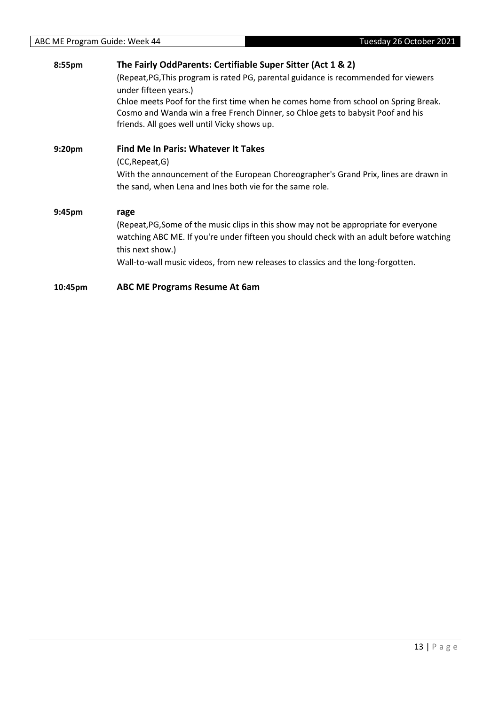| 8:55pm             | The Fairly OddParents: Certifiable Super Sitter (Act 1 & 2)                                                  |
|--------------------|--------------------------------------------------------------------------------------------------------------|
|                    | (Repeat, PG, This program is rated PG, parental guidance is recommended for viewers<br>under fifteen years.) |
|                    | Chloe meets Poof for the first time when he comes home from school on Spring Break.                          |
|                    | Cosmo and Wanda win a free French Dinner, so Chloe gets to babysit Poof and his                              |
|                    | friends. All goes well until Vicky shows up.                                                                 |
| 9:20 <sub>pm</sub> | <b>Find Me In Paris: Whatever It Takes</b>                                                                   |
|                    | (CC, Repeat, G)                                                                                              |
|                    | With the announcement of the European Choreographer's Grand Prix, lines are drawn in                         |
|                    | the sand, when Lena and Ines both vie for the same role.                                                     |
| 9:45pm             | rage                                                                                                         |
|                    | (Repeat, PG, Some of the music clips in this show may not be appropriate for everyone                        |
|                    | watching ABC ME. If you're under fifteen you should check with an adult before watching                      |
|                    | this next show.)                                                                                             |
|                    | Wall-to-wall music videos, from new releases to classics and the long-forgotten.                             |
| 10:45pm            | <b>ABC ME Programs Resume At 6am</b>                                                                         |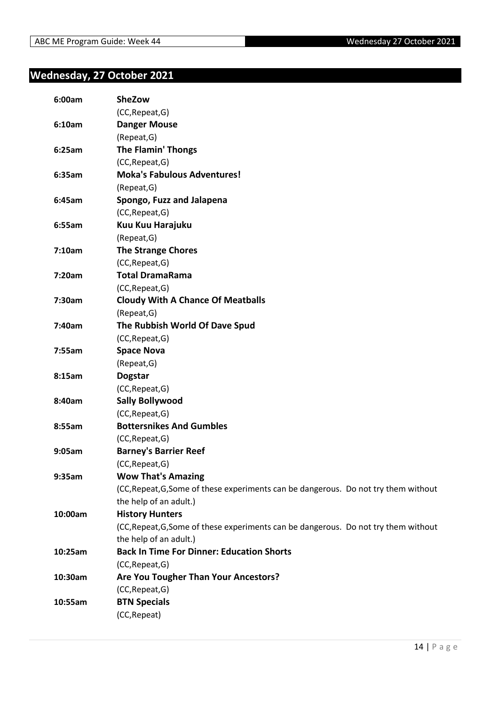#### <span id="page-13-0"></span>**Wednesday, 27 October 2021**

| 6:00am  | <b>SheZow</b>                                                                       |
|---------|-------------------------------------------------------------------------------------|
|         | (CC, Repeat, G)                                                                     |
| 6:10am  | <b>Danger Mouse</b>                                                                 |
|         | (Repeat, G)                                                                         |
| 6:25am  | <b>The Flamin' Thongs</b>                                                           |
|         | (CC, Repeat, G)                                                                     |
| 6:35am  | <b>Moka's Fabulous Adventures!</b>                                                  |
|         | (Repeat, G)                                                                         |
| 6:45am  | Spongo, Fuzz and Jalapena                                                           |
|         | (CC, Repeat, G)                                                                     |
| 6:55am  | Kuu Kuu Harajuku                                                                    |
|         | (Repeat, G)                                                                         |
| 7:10am  | <b>The Strange Chores</b>                                                           |
|         | (CC, Repeat, G)                                                                     |
| 7:20am  | <b>Total DramaRama</b>                                                              |
|         | (CC, Repeat, G)                                                                     |
| 7:30am  | <b>Cloudy With A Chance Of Meatballs</b>                                            |
|         | (Repeat, G)                                                                         |
| 7:40am  | The Rubbish World Of Dave Spud                                                      |
|         | (CC, Repeat, G)                                                                     |
| 7:55am  | <b>Space Nova</b>                                                                   |
|         | (Repeat, G)                                                                         |
| 8:15am  | <b>Dogstar</b>                                                                      |
|         | (CC, Repeat, G)                                                                     |
| 8:40am  | <b>Sally Bollywood</b>                                                              |
|         | (CC, Repeat, G)                                                                     |
| 8:55am  | <b>Bottersnikes And Gumbles</b>                                                     |
|         | (CC, Repeat, G)                                                                     |
| 9:05am  | <b>Barney's Barrier Reef</b>                                                        |
|         | (CC, Repeat, G)                                                                     |
| 9:35am  | <b>Wow That's Amazing</b>                                                           |
|         | (CC, Repeat, G, Some of these experiments can be dangerous. Do not try them without |
|         | the help of an adult.)                                                              |
| 10:00am | <b>History Hunters</b>                                                              |
|         | (CC, Repeat, G, Some of these experiments can be dangerous. Do not try them without |
|         | the help of an adult.)                                                              |
| 10:25am | <b>Back In Time For Dinner: Education Shorts</b>                                    |
|         | (CC, Repeat, G)                                                                     |
| 10:30am | Are You Tougher Than Your Ancestors?                                                |
|         | (CC, Repeat, G)                                                                     |
| 10:55am | <b>BTN Specials</b>                                                                 |
|         | (CC, Repeat)                                                                        |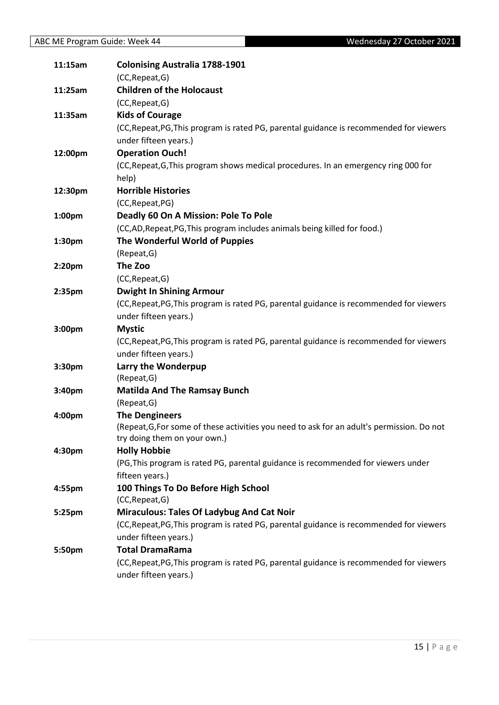| 11:15am | <b>Colonising Australia 1788-1901</b>                                                                                      |
|---------|----------------------------------------------------------------------------------------------------------------------------|
|         | (CC, Repeat, G)                                                                                                            |
| 11:25am | <b>Children of the Holocaust</b>                                                                                           |
|         | (CC, Repeat, G)                                                                                                            |
| 11:35am | <b>Kids of Courage</b>                                                                                                     |
|         | (CC, Repeat, PG, This program is rated PG, parental guidance is recommended for viewers                                    |
|         | under fifteen years.)                                                                                                      |
| 12:00pm | <b>Operation Ouch!</b>                                                                                                     |
|         | (CC, Repeat, G, This program shows medical procedures. In an emergency ring 000 for                                        |
|         | help)                                                                                                                      |
| 12:30pm | <b>Horrible Histories</b>                                                                                                  |
|         | (CC, Repeat, PG)                                                                                                           |
| 1:00pm  | Deadly 60 On A Mission: Pole To Pole                                                                                       |
|         | (CC,AD, Repeat, PG, This program includes animals being killed for food.)                                                  |
| 1:30pm  | The Wonderful World of Puppies                                                                                             |
|         | (Repeat, G)                                                                                                                |
| 2:20pm  | The Zoo                                                                                                                    |
|         | (CC, Repeat, G)                                                                                                            |
| 2:35pm  | <b>Dwight In Shining Armour</b>                                                                                            |
|         | (CC, Repeat, PG, This program is rated PG, parental guidance is recommended for viewers                                    |
|         | under fifteen years.)                                                                                                      |
| 3:00pm  | <b>Mystic</b>                                                                                                              |
|         | (CC, Repeat, PG, This program is rated PG, parental guidance is recommended for viewers                                    |
|         | under fifteen years.)                                                                                                      |
| 3:30pm  | Larry the Wonderpup                                                                                                        |
|         | (Repeat, G)                                                                                                                |
| 3:40pm  | <b>Matilda And The Ramsay Bunch</b>                                                                                        |
|         | (Repeat, G)                                                                                                                |
| 4:00pm  | <b>The Dengineers</b>                                                                                                      |
|         | (Repeat, G, For some of these activities you need to ask for an adult's permission. Do not<br>try doing them on your own.) |
| 4:30pm  | <b>Holly Hobbie</b>                                                                                                        |
|         | (PG, This program is rated PG, parental guidance is recommended for viewers under                                          |
|         | fifteen years.)                                                                                                            |
| 4:55pm  | 100 Things To Do Before High School                                                                                        |
|         | (CC, Repeat, G)                                                                                                            |
| 5:25pm  | <b>Miraculous: Tales Of Ladybug And Cat Noir</b>                                                                           |
|         | (CC, Repeat, PG, This program is rated PG, parental guidance is recommended for viewers                                    |
|         | under fifteen years.)                                                                                                      |
| 5:50pm  | <b>Total DramaRama</b>                                                                                                     |
|         | (CC, Repeat, PG, This program is rated PG, parental guidance is recommended for viewers                                    |
|         | under fifteen years.)                                                                                                      |
|         |                                                                                                                            |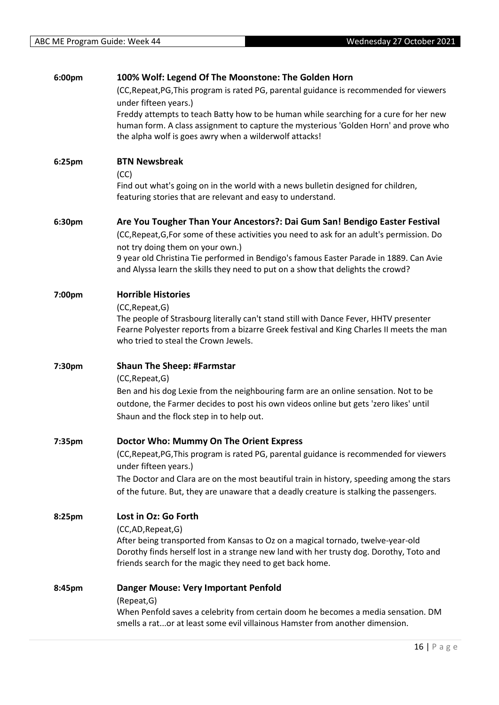| 6:00pm | 100% Wolf: Legend Of The Moonstone: The Golden Horn                                                                                                                                                                                     |
|--------|-----------------------------------------------------------------------------------------------------------------------------------------------------------------------------------------------------------------------------------------|
|        | (CC, Repeat, PG, This program is rated PG, parental guidance is recommended for viewers<br>under fifteen years.)                                                                                                                        |
|        | Freddy attempts to teach Batty how to be human while searching for a cure for her new<br>human form. A class assignment to capture the mysterious 'Golden Horn' and prove who<br>the alpha wolf is goes awry when a wilderwolf attacks! |
| 6:25pm | <b>BTN Newsbreak</b><br>(CC)                                                                                                                                                                                                            |
|        | Find out what's going on in the world with a news bulletin designed for children,<br>featuring stories that are relevant and easy to understand.                                                                                        |
| 6:30pm | Are You Tougher Than Your Ancestors?: Dai Gum San! Bendigo Easter Festival                                                                                                                                                              |
|        | (CC, Repeat, G, For some of these activities you need to ask for an adult's permission. Do                                                                                                                                              |
|        | not try doing them on your own.)                                                                                                                                                                                                        |
|        | 9 year old Christina Tie performed in Bendigo's famous Easter Parade in 1889. Can Avie<br>and Alyssa learn the skills they need to put on a show that delights the crowd?                                                               |
| 7:00pm | <b>Horrible Histories</b>                                                                                                                                                                                                               |
|        | (CC, Repeat, G)                                                                                                                                                                                                                         |
|        | The people of Strasbourg literally can't stand still with Dance Fever, HHTV presenter<br>Fearne Polyester reports from a bizarre Greek festival and King Charles II meets the man<br>who tried to steal the Crown Jewels.               |
| 7:30pm | <b>Shaun The Sheep: #Farmstar</b>                                                                                                                                                                                                       |
|        | (CC, Repeat, G)                                                                                                                                                                                                                         |
|        | Ben and his dog Lexie from the neighbouring farm are an online sensation. Not to be<br>outdone, the Farmer decides to post his own videos online but gets 'zero likes' until<br>Shaun and the flock step in to help out.                |
| 7:35pm | Doctor Who: Mummy On The Orient Express                                                                                                                                                                                                 |
|        | (CC, Repeat, PG, This program is rated PG, parental guidance is recommended for viewers<br>under fifteen years.)                                                                                                                        |
|        | The Doctor and Clara are on the most beautiful train in history, speeding among the stars                                                                                                                                               |
|        | of the future. But, they are unaware that a deadly creature is stalking the passengers.                                                                                                                                                 |
| 8:25pm | Lost in Oz: Go Forth                                                                                                                                                                                                                    |
|        | (CC,AD,Repeat,G)<br>After being transported from Kansas to Oz on a magical tornado, twelve-year-old                                                                                                                                     |
|        | Dorothy finds herself lost in a strange new land with her trusty dog. Dorothy, Toto and<br>friends search for the magic they need to get back home.                                                                                     |
| 8:45pm | <b>Danger Mouse: Very Important Penfold</b>                                                                                                                                                                                             |
|        | (Repeat, G)<br>When Penfold saves a celebrity from certain doom he becomes a media sensation. DM<br>smells a rator at least some evil villainous Hamster from another dimension.                                                        |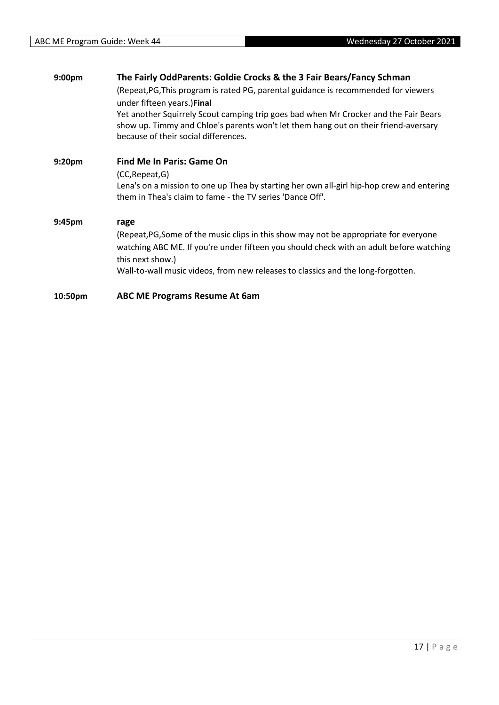| 9:00pm             | The Fairly OddParents: Goldie Crocks & the 3 Fair Bears/Fancy Schman                                                                                                                                                                               |
|--------------------|----------------------------------------------------------------------------------------------------------------------------------------------------------------------------------------------------------------------------------------------------|
|                    | (Repeat, PG, This program is rated PG, parental guidance is recommended for viewers                                                                                                                                                                |
|                    | under fifteen years.) Final<br>Yet another Squirrely Scout camping trip goes bad when Mr Crocker and the Fair Bears<br>show up. Timmy and Chloe's parents won't let them hang out on their friend-aversary<br>because of their social differences. |
| 9:20 <sub>pm</sub> | Find Me In Paris: Game On                                                                                                                                                                                                                          |
|                    | (CC, Repeat, G)                                                                                                                                                                                                                                    |
|                    | Lena's on a mission to one up Thea by starting her own all-girl hip-hop crew and entering<br>them in Thea's claim to fame - the TV series 'Dance Off'.                                                                                             |
| 9:45pm             | rage                                                                                                                                                                                                                                               |
|                    | (Repeat, PG, Some of the music clips in this show may not be appropriate for everyone<br>watching ABC ME. If you're under fifteen you should check with an adult before watching<br>this next show.)                                               |
|                    | Wall-to-wall music videos, from new releases to classics and the long-forgotten.                                                                                                                                                                   |
| 10:50pm            | <b>ABC ME Programs Resume At 6am</b>                                                                                                                                                                                                               |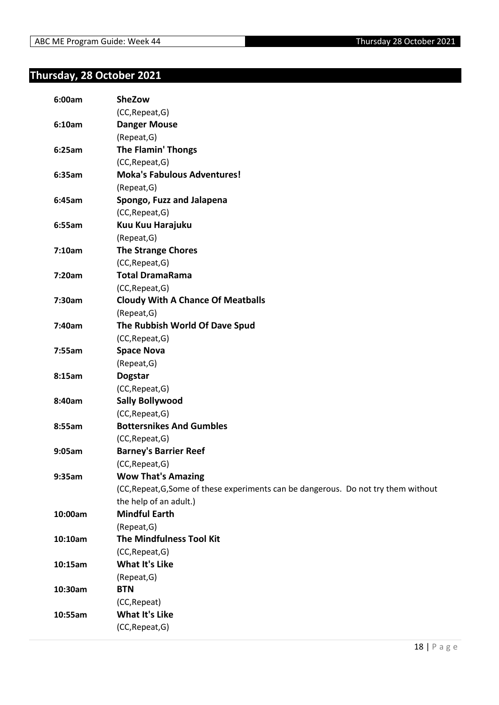#### <span id="page-17-0"></span>**Thursday, 28 October 2021**

| 6:00am  | <b>SheZow</b>                                                                       |
|---------|-------------------------------------------------------------------------------------|
|         | (CC, Repeat, G)                                                                     |
| 6:10am  | <b>Danger Mouse</b>                                                                 |
|         | (Repeat, G)                                                                         |
| 6:25am  | <b>The Flamin' Thongs</b>                                                           |
|         | (CC, Repeat, G)                                                                     |
| 6:35am  | <b>Moka's Fabulous Adventures!</b>                                                  |
|         | (Repeat, G)                                                                         |
| 6:45am  | Spongo, Fuzz and Jalapena                                                           |
|         | (CC, Repeat, G)                                                                     |
| 6:55am  | Kuu Kuu Harajuku                                                                    |
|         | (Repeat, G)                                                                         |
| 7:10am  | <b>The Strange Chores</b>                                                           |
|         | (CC, Repeat, G)                                                                     |
| 7:20am  | <b>Total DramaRama</b>                                                              |
|         | (CC, Repeat, G)                                                                     |
| 7:30am  | <b>Cloudy With A Chance Of Meatballs</b>                                            |
|         | (Repeat, G)                                                                         |
| 7:40am  | The Rubbish World Of Dave Spud                                                      |
|         | (CC, Repeat, G)                                                                     |
| 7:55am  | <b>Space Nova</b>                                                                   |
|         | (Repeat, G)                                                                         |
| 8:15am  | <b>Dogstar</b>                                                                      |
|         | (CC, Repeat, G)                                                                     |
| 8:40am  | <b>Sally Bollywood</b>                                                              |
|         | (CC, Repeat, G)                                                                     |
| 8:55am  | <b>Bottersnikes And Gumbles</b>                                                     |
|         | (CC, Repeat, G)                                                                     |
| 9:05am  | <b>Barney's Barrier Reef</b>                                                        |
|         | (CC, Repeat, G)                                                                     |
| 9:35am  | <b>Wow That's Amazing</b>                                                           |
|         | (CC, Repeat, G, Some of these experiments can be dangerous. Do not try them without |
|         | the help of an adult.)                                                              |
| 10:00am | <b>Mindful Earth</b>                                                                |
|         | (Repeat, G)                                                                         |
| 10:10am | <b>The Mindfulness Tool Kit</b>                                                     |
|         | (CC, Repeat, G)                                                                     |
| 10:15am | <b>What It's Like</b>                                                               |
|         | (Repeat, G)                                                                         |
| 10:30am | <b>BTN</b>                                                                          |
|         | (CC, Repeat)                                                                        |
| 10:55am | <b>What It's Like</b>                                                               |
|         | (CC, Repeat, G)                                                                     |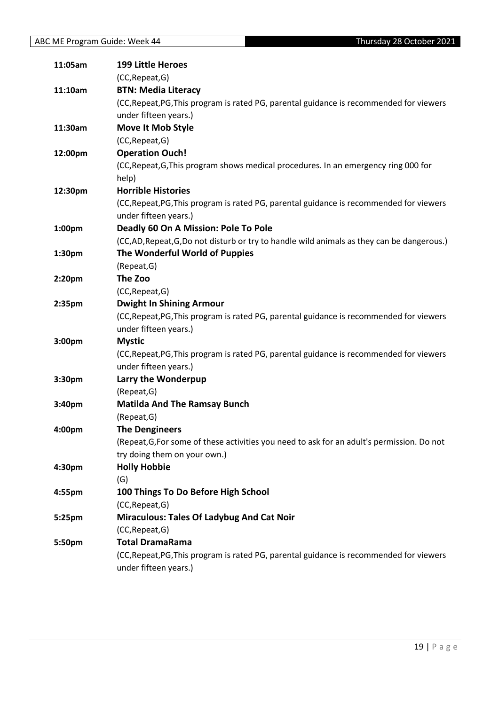| 11:05am | <b>199 Little Heroes</b>                                                                   |
|---------|--------------------------------------------------------------------------------------------|
|         | (CC, Repeat, G)                                                                            |
| 11:10am | <b>BTN: Media Literacy</b>                                                                 |
|         | (CC, Repeat, PG, This program is rated PG, parental guidance is recommended for viewers    |
|         | under fifteen years.)                                                                      |
| 11:30am | Move It Mob Style                                                                          |
|         | (CC, Repeat, G)                                                                            |
| 12:00pm | <b>Operation Ouch!</b>                                                                     |
|         | (CC, Repeat, G, This program shows medical procedures. In an emergency ring 000 for        |
|         | help)                                                                                      |
| 12:30pm | <b>Horrible Histories</b>                                                                  |
|         | (CC, Repeat, PG, This program is rated PG, parental guidance is recommended for viewers    |
|         | under fifteen years.)                                                                      |
| 1:00pm  | Deadly 60 On A Mission: Pole To Pole                                                       |
|         | (CC,AD, Repeat, G,Do not disturb or try to handle wild animals as they can be dangerous.)  |
| 1:30pm  | The Wonderful World of Puppies                                                             |
|         | (Repeat, G)                                                                                |
| 2:20pm  | The Zoo                                                                                    |
|         | (CC, Repeat, G)                                                                            |
| 2:35pm  | <b>Dwight In Shining Armour</b>                                                            |
|         | (CC, Repeat, PG, This program is rated PG, parental guidance is recommended for viewers    |
|         | under fifteen years.)                                                                      |
| 3:00pm  | <b>Mystic</b>                                                                              |
|         | (CC, Repeat, PG, This program is rated PG, parental guidance is recommended for viewers    |
|         | under fifteen years.)                                                                      |
| 3:30pm  | Larry the Wonderpup                                                                        |
|         | (Repeat, G)                                                                                |
| 3:40pm  | <b>Matilda And The Ramsay Bunch</b>                                                        |
|         | (Repeat, G)                                                                                |
| 4:00pm  | <b>The Dengineers</b>                                                                      |
|         | (Repeat, G, For some of these activities you need to ask for an adult's permission. Do not |
|         | try doing them on your own.)                                                               |
| 4:30pm  | <b>Holly Hobbie</b>                                                                        |
|         | (G)                                                                                        |
| 4:55pm  | 100 Things To Do Before High School                                                        |
|         | (CC, Repeat, G)                                                                            |
| 5:25pm  | <b>Miraculous: Tales Of Ladybug And Cat Noir</b>                                           |
|         | (CC, Repeat, G)                                                                            |
| 5:50pm  | <b>Total DramaRama</b>                                                                     |
|         | (CC, Repeat, PG, This program is rated PG, parental guidance is recommended for viewers    |
|         | under fifteen years.)                                                                      |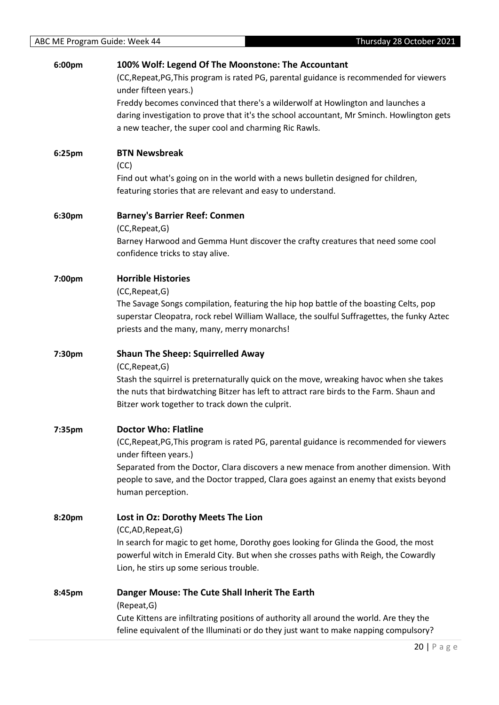| 6:00pm | 100% Wolf: Legend Of The Moonstone: The Accountant                                         |
|--------|--------------------------------------------------------------------------------------------|
|        | (CC, Repeat, PG, This program is rated PG, parental guidance is recommended for viewers    |
|        | under fifteen years.)                                                                      |
|        | Freddy becomes convinced that there's a wilderwolf at Howlington and launches a            |
|        | daring investigation to prove that it's the school accountant, Mr Sminch. Howlington gets  |
|        | a new teacher, the super cool and charming Ric Rawls.                                      |
| 6:25pm | <b>BTN Newsbreak</b>                                                                       |
|        | (CC)                                                                                       |
|        | Find out what's going on in the world with a news bulletin designed for children,          |
|        | featuring stories that are relevant and easy to understand.                                |
| 6:30pm | <b>Barney's Barrier Reef: Conmen</b>                                                       |
|        | (CC, Repeat, G)                                                                            |
|        | Barney Harwood and Gemma Hunt discover the crafty creatures that need some cool            |
|        | confidence tricks to stay alive.                                                           |
| 7:00pm | <b>Horrible Histories</b>                                                                  |
|        | (CC, Repeat, G)                                                                            |
|        | The Savage Songs compilation, featuring the hip hop battle of the boasting Celts, pop      |
|        | superstar Cleopatra, rock rebel William Wallace, the soulful Suffragettes, the funky Aztec |
|        | priests and the many, many, merry monarchs!                                                |
| 7:30pm | <b>Shaun The Sheep: Squirrelled Away</b>                                                   |
|        | (CC, Repeat, G)                                                                            |
|        | Stash the squirrel is preternaturally quick on the move, wreaking havoc when she takes     |
|        | the nuts that birdwatching Bitzer has left to attract rare birds to the Farm. Shaun and    |
|        | Bitzer work together to track down the culprit.                                            |
| 7:35pm | <b>Doctor Who: Flatline</b>                                                                |
|        | (CC, Repeat, PG, This program is rated PG, parental guidance is recommended for viewers    |
|        | under fifteen years.)                                                                      |
|        | Separated from the Doctor, Clara discovers a new menace from another dimension. With       |
|        | people to save, and the Doctor trapped, Clara goes against an enemy that exists beyond     |
|        | human perception.                                                                          |
| 8:20pm | Lost in Oz: Dorothy Meets The Lion                                                         |
|        | (CC,AD, Repeat, G)                                                                         |
|        | In search for magic to get home, Dorothy goes looking for Glinda the Good, the most        |
|        | powerful witch in Emerald City. But when she crosses paths with Reigh, the Cowardly        |
|        | Lion, he stirs up some serious trouble.                                                    |
| 8:45pm | Danger Mouse: The Cute Shall Inherit The Earth                                             |
|        | (Repeat, G)                                                                                |
|        | Cute Kittens are infiltrating positions of authority all around the world. Are they the    |
|        | feline equivalent of the Illuminati or do they just want to make napping compulsory?       |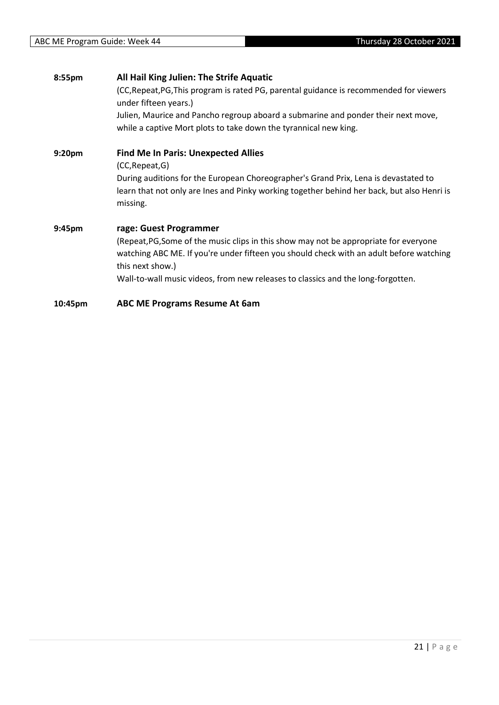| 8:55pm             | All Hail King Julien: The Strife Aquatic                                                                                                                                                             |
|--------------------|------------------------------------------------------------------------------------------------------------------------------------------------------------------------------------------------------|
|                    | (CC, Repeat, PG, This program is rated PG, parental guidance is recommended for viewers<br>under fifteen years.)                                                                                     |
|                    | Julien, Maurice and Pancho regroup aboard a submarine and ponder their next move,                                                                                                                    |
|                    | while a captive Mort plots to take down the tyrannical new king.                                                                                                                                     |
| 9:20 <sub>pm</sub> | <b>Find Me In Paris: Unexpected Allies</b>                                                                                                                                                           |
|                    | (CC, Repeat, G)                                                                                                                                                                                      |
|                    | During auditions for the European Choreographer's Grand Prix, Lena is devastated to<br>learn that not only are lnes and Pinky working together behind her back, but also Henri is<br>missing.        |
| 9:45pm             | rage: Guest Programmer                                                                                                                                                                               |
|                    |                                                                                                                                                                                                      |
|                    | (Repeat, PG, Some of the music clips in this show may not be appropriate for everyone<br>watching ABC ME. If you're under fifteen you should check with an adult before watching<br>this next show.) |
|                    | Wall-to-wall music videos, from new releases to classics and the long-forgotten.                                                                                                                     |
| 10:45pm            | <b>ABC ME Programs Resume At 6am</b>                                                                                                                                                                 |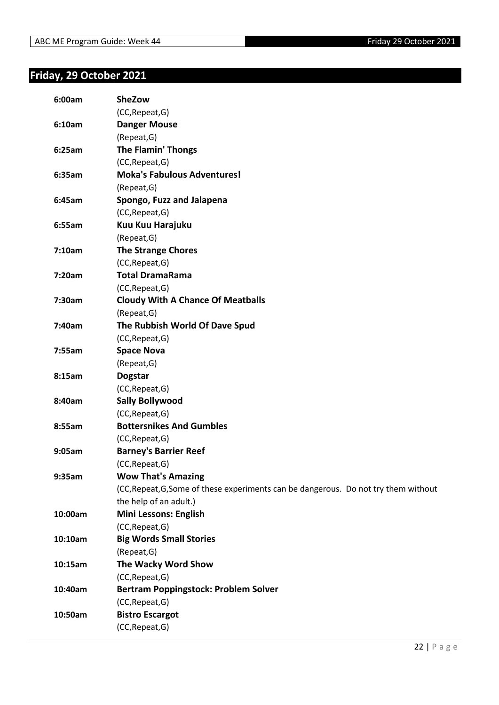### <span id="page-21-0"></span>**Friday, 29 October 2021**

| 6:00am  | <b>SheZow</b>                                                                       |
|---------|-------------------------------------------------------------------------------------|
|         | (CC, Repeat, G)                                                                     |
| 6:10am  | <b>Danger Mouse</b>                                                                 |
|         | (Repeat, G)                                                                         |
| 6:25am  | <b>The Flamin' Thongs</b>                                                           |
|         | (CC, Repeat, G)                                                                     |
| 6:35am  | <b>Moka's Fabulous Adventures!</b>                                                  |
|         | (Repeat, G)                                                                         |
| 6:45am  | Spongo, Fuzz and Jalapena                                                           |
|         | (CC, Repeat, G)                                                                     |
| 6:55am  | Kuu Kuu Harajuku                                                                    |
|         | (Repeat, G)                                                                         |
| 7:10am  | <b>The Strange Chores</b>                                                           |
|         | (CC, Repeat, G)                                                                     |
| 7:20am  | <b>Total DramaRama</b>                                                              |
|         | (CC, Repeat, G)                                                                     |
| 7:30am  | <b>Cloudy With A Chance Of Meatballs</b>                                            |
|         | (Repeat, G)                                                                         |
| 7:40am  | The Rubbish World Of Dave Spud                                                      |
|         | (CC, Repeat, G)                                                                     |
| 7:55am  | <b>Space Nova</b>                                                                   |
|         | (Repeat, G)                                                                         |
| 8:15am  | <b>Dogstar</b>                                                                      |
|         | (CC, Repeat, G)                                                                     |
| 8:40am  | <b>Sally Bollywood</b>                                                              |
|         | (CC, Repeat, G)                                                                     |
| 8:55am  | <b>Bottersnikes And Gumbles</b>                                                     |
|         | (CC, Repeat, G)                                                                     |
| 9:05am  | <b>Barney's Barrier Reef</b>                                                        |
|         | (CC, Repeat, G)                                                                     |
| 9:35am  | <b>Wow That's Amazing</b>                                                           |
|         | (CC, Repeat, G, Some of these experiments can be dangerous. Do not try them without |
|         | the help of an adult.)                                                              |
| 10:00am | <b>Mini Lessons: English</b>                                                        |
|         | (CC, Repeat, G)                                                                     |
| 10:10am | <b>Big Words Small Stories</b>                                                      |
|         | (Repeat, G)                                                                         |
| 10:15am | The Wacky Word Show                                                                 |
|         | (CC, Repeat, G)                                                                     |
| 10:40am | <b>Bertram Poppingstock: Problem Solver</b>                                         |
|         | (CC, Repeat, G)                                                                     |
| 10:50am | <b>Bistro Escargot</b>                                                              |
|         | (CC, Repeat, G)                                                                     |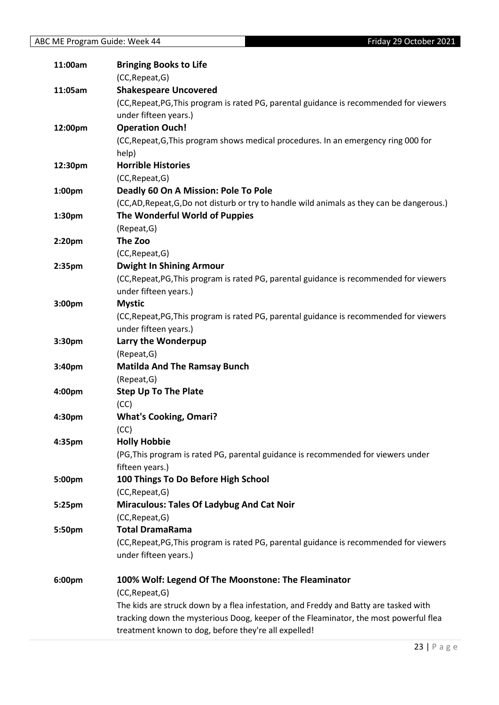| 11:00am | <b>Bringing Books to Life</b>                                                             |
|---------|-------------------------------------------------------------------------------------------|
|         | (CC, Repeat, G)                                                                           |
| 11:05am | <b>Shakespeare Uncovered</b>                                                              |
|         | (CC, Repeat, PG, This program is rated PG, parental guidance is recommended for viewers   |
|         | under fifteen years.)                                                                     |
| 12:00pm | <b>Operation Ouch!</b>                                                                    |
|         | (CC, Repeat, G, This program shows medical procedures. In an emergency ring 000 for       |
|         | help)                                                                                     |
| 12:30pm | <b>Horrible Histories</b>                                                                 |
|         | (CC, Repeat, G)                                                                           |
| 1:00pm  | Deadly 60 On A Mission: Pole To Pole                                                      |
|         | (CC,AD, Repeat, G,Do not disturb or try to handle wild animals as they can be dangerous.) |
| 1:30pm  | The Wonderful World of Puppies                                                            |
|         | (Repeat, G)                                                                               |
| 2:20pm  | The Zoo                                                                                   |
|         | (CC, Repeat, G)                                                                           |
| 2:35pm  | <b>Dwight In Shining Armour</b>                                                           |
|         | (CC, Repeat, PG, This program is rated PG, parental guidance is recommended for viewers   |
|         | under fifteen years.)                                                                     |
| 3:00pm  | <b>Mystic</b>                                                                             |
|         | (CC, Repeat, PG, This program is rated PG, parental guidance is recommended for viewers   |
|         | under fifteen years.)                                                                     |
| 3:30pm  | Larry the Wonderpup                                                                       |
|         | (Repeat, G)                                                                               |
| 3:40pm  | <b>Matilda And The Ramsay Bunch</b>                                                       |
|         | (Repeat, G)                                                                               |
| 4:00pm  | <b>Step Up To The Plate</b>                                                               |
|         | (CC)                                                                                      |
| 4:30pm  | <b>What's Cooking, Omari?</b>                                                             |
|         | (CC)                                                                                      |
| 4:35pm  | <b>Holly Hobbie</b>                                                                       |
|         | (PG, This program is rated PG, parental guidance is recommended for viewers under         |
|         | fifteen years.)                                                                           |
| 5:00pm  | 100 Things To Do Before High School                                                       |
|         | (CC, Repeat, G)                                                                           |
| 5:25pm  | <b>Miraculous: Tales Of Ladybug And Cat Noir</b>                                          |
|         | (CC, Repeat, G)                                                                           |
| 5:50pm  | <b>Total DramaRama</b>                                                                    |
|         | (CC, Repeat, PG, This program is rated PG, parental guidance is recommended for viewers   |
|         | under fifteen years.)                                                                     |
| 6:00pm  | 100% Wolf: Legend Of The Moonstone: The Fleaminator                                       |
|         | (CC, Repeat, G)                                                                           |
|         | The kids are struck down by a flea infestation, and Freddy and Batty are tasked with      |
|         | tracking down the mysterious Doog, keeper of the Fleaminator, the most powerful flea      |
|         | treatment known to dog, before they're all expelled!                                      |
|         |                                                                                           |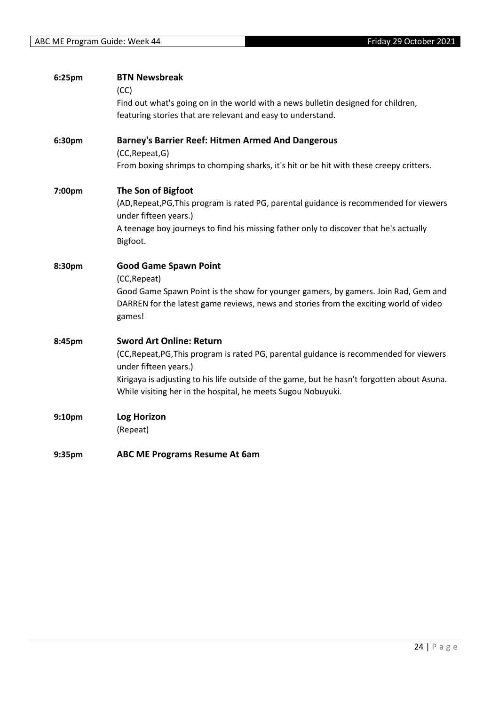| 6:25pm | <b>BTN Newsbreak</b>                                                                                             |
|--------|------------------------------------------------------------------------------------------------------------------|
|        | (CC)                                                                                                             |
|        | Find out what's going on in the world with a news bulletin designed for children,                                |
|        | featuring stories that are relevant and easy to understand.                                                      |
| 6:30pm | <b>Barney's Barrier Reef: Hitmen Armed And Dangerous</b>                                                         |
|        | (CC, Repeat, G)                                                                                                  |
|        | From boxing shrimps to chomping sharks, it's hit or be hit with these creepy critters.                           |
| 7:00pm | The Son of Bigfoot                                                                                               |
|        | (AD, Repeat, PG, This program is rated PG, parental guidance is recommended for viewers<br>under fifteen years.) |
|        | A teenage boy journeys to find his missing father only to discover that he's actually                            |
|        | Bigfoot.                                                                                                         |
| 8:30pm | <b>Good Game Spawn Point</b>                                                                                     |
|        | (CC, Repeat)                                                                                                     |
|        | Good Game Spawn Point is the show for younger gamers, by gamers. Join Rad, Gem and                               |
|        | DARREN for the latest game reviews, news and stories from the exciting world of video<br>games!                  |
|        |                                                                                                                  |
| 8:45pm | <b>Sword Art Online: Return</b>                                                                                  |
|        | (CC, Repeat, PG, This program is rated PG, parental guidance is recommended for viewers                          |
|        | under fifteen years.)                                                                                            |
|        | Kirigaya is adjusting to his life outside of the game, but he hasn't forgotten about Asuna.                      |
|        | While visiting her in the hospital, he meets Sugou Nobuyuki.                                                     |
| 9:10pm | <b>Log Horizon</b>                                                                                               |
|        | (Repeat)                                                                                                         |
| 9:35pm | ABC ME Programs Resume At 6am                                                                                    |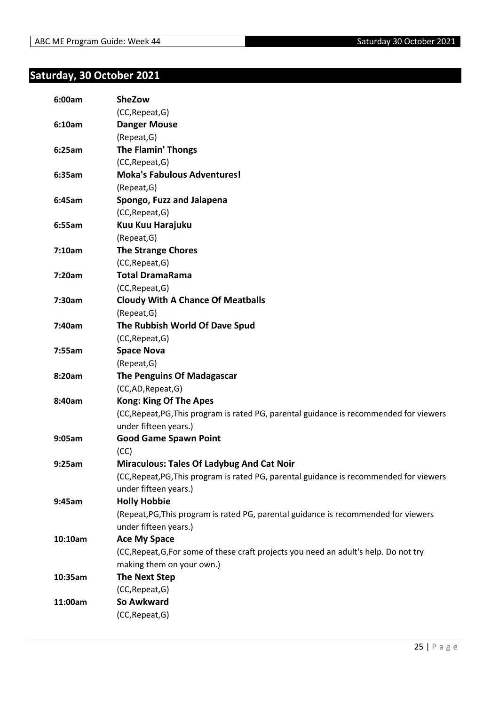#### <span id="page-24-0"></span>**Saturday, 30 October 2021**

| 6:00am  | <b>SheZow</b>                                                                           |
|---------|-----------------------------------------------------------------------------------------|
|         | (CC, Repeat, G)                                                                         |
| 6:10am  | <b>Danger Mouse</b>                                                                     |
|         | (Repeat, G)                                                                             |
| 6:25am  | <b>The Flamin' Thongs</b>                                                               |
|         | (CC, Repeat, G)                                                                         |
| 6:35am  | <b>Moka's Fabulous Adventures!</b>                                                      |
|         | (Repeat, G)                                                                             |
| 6:45am  | Spongo, Fuzz and Jalapena                                                               |
|         | (CC, Repeat, G)                                                                         |
| 6:55am  | Kuu Kuu Harajuku                                                                        |
|         | (Repeat, G)                                                                             |
| 7:10am  | <b>The Strange Chores</b>                                                               |
|         | (CC, Repeat, G)                                                                         |
| 7:20am  | <b>Total DramaRama</b>                                                                  |
|         | (CC, Repeat, G)                                                                         |
| 7:30am  | <b>Cloudy With A Chance Of Meatballs</b>                                                |
|         | (Repeat, G)                                                                             |
| 7:40am  | The Rubbish World Of Dave Spud                                                          |
|         | (CC, Repeat, G)                                                                         |
| 7:55am  | <b>Space Nova</b>                                                                       |
|         | (Repeat, G)                                                                             |
| 8:20am  | <b>The Penguins Of Madagascar</b>                                                       |
|         | (CC,AD,Repeat,G)                                                                        |
| 8:40am  | <b>Kong: King Of The Apes</b>                                                           |
|         | (CC, Repeat, PG, This program is rated PG, parental guidance is recommended for viewers |
|         | under fifteen years.)                                                                   |
| 9:05am  | <b>Good Game Spawn Point</b>                                                            |
|         | (CC)                                                                                    |
| 9:25am  | <b>Miraculous: Tales Of Ladybug And Cat Noir</b>                                        |
|         | (CC, Repeat, PG, This program is rated PG, parental guidance is recommended for viewers |
|         | under fifteen years.)                                                                   |
| 9:45am  | <b>Holly Hobbie</b>                                                                     |
|         | (Repeat, PG, This program is rated PG, parental guidance is recommended for viewers     |
|         | under fifteen years.)                                                                   |
| 10:10am | <b>Ace My Space</b>                                                                     |
|         | (CC, Repeat, G, For some of these craft projects you need an adult's help. Do not try   |
|         | making them on your own.)                                                               |
| 10:35am | <b>The Next Step</b>                                                                    |
|         | (CC, Repeat, G)                                                                         |
| 11:00am | So Awkward                                                                              |
|         | (CC, Repeat, G)                                                                         |
|         |                                                                                         |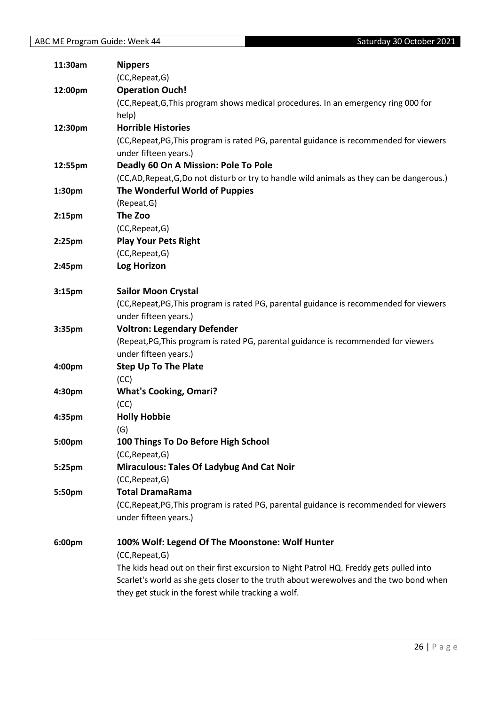| 11:30am            | <b>Nippers</b>                                                                            |
|--------------------|-------------------------------------------------------------------------------------------|
|                    | (CC, Repeat, G)                                                                           |
| 12:00pm            | <b>Operation Ouch!</b>                                                                    |
|                    | (CC, Repeat, G, This program shows medical procedures. In an emergency ring 000 for       |
|                    | help)                                                                                     |
| 12:30pm            | <b>Horrible Histories</b>                                                                 |
|                    | (CC, Repeat, PG, This program is rated PG, parental guidance is recommended for viewers   |
|                    | under fifteen years.)                                                                     |
| 12:55pm            | Deadly 60 On A Mission: Pole To Pole                                                      |
|                    | (CC,AD, Repeat, G,Do not disturb or try to handle wild animals as they can be dangerous.) |
| 1:30pm             | The Wonderful World of Puppies                                                            |
|                    | (Repeat, G)                                                                               |
| 2:15 <sub>pm</sub> | The Zoo                                                                                   |
|                    | (CC, Repeat, G)                                                                           |
| $2:25$ pm          | <b>Play Your Pets Right</b>                                                               |
|                    | (CC, Repeat, G)                                                                           |
| 2:45pm             | <b>Log Horizon</b>                                                                        |
|                    |                                                                                           |
| 3:15pm             | <b>Sailor Moon Crystal</b>                                                                |
|                    | (CC, Repeat, PG, This program is rated PG, parental guidance is recommended for viewers   |
|                    | under fifteen years.)                                                                     |
| 3:35pm             | <b>Voltron: Legendary Defender</b>                                                        |
|                    | (Repeat, PG, This program is rated PG, parental guidance is recommended for viewers       |
|                    | under fifteen years.)                                                                     |
| 4:00pm             | <b>Step Up To The Plate</b>                                                               |
|                    | (CC)                                                                                      |
| 4:30pm             | <b>What's Cooking, Omari?</b>                                                             |
|                    | (CC)                                                                                      |
| 4:35pm             | <b>Holly Hobbie</b>                                                                       |
|                    | (G)                                                                                       |
| 5:00pm             | 100 Things To Do Before High School                                                       |
|                    | (CC, Repeat, G)                                                                           |
| 5:25pm             | <b>Miraculous: Tales Of Ladybug And Cat Noir</b>                                          |
|                    | (CC, Repeat, G)                                                                           |
| 5:50pm             | <b>Total DramaRama</b>                                                                    |
|                    | (CC, Repeat, PG, This program is rated PG, parental guidance is recommended for viewers   |
|                    | under fifteen years.)                                                                     |
| 6:00pm             | 100% Wolf: Legend Of The Moonstone: Wolf Hunter                                           |
|                    | (CC, Repeat, G)                                                                           |
|                    | The kids head out on their first excursion to Night Patrol HQ. Freddy gets pulled into    |
|                    | Scarlet's world as she gets closer to the truth about werewolves and the two bond when    |
|                    | they get stuck in the forest while tracking a wolf.                                       |
|                    |                                                                                           |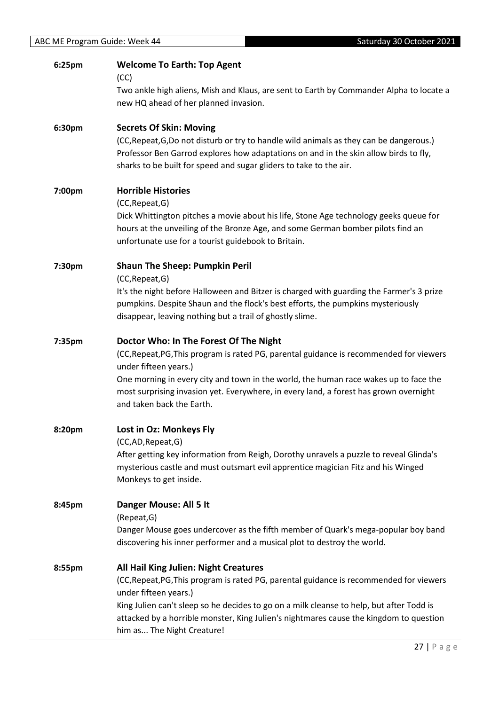| 6:25pm | <b>Welcome To Earth: Top Agent</b><br>(CC)                                                                                                                                                                                                            |
|--------|-------------------------------------------------------------------------------------------------------------------------------------------------------------------------------------------------------------------------------------------------------|
|        | Two ankle high aliens, Mish and Klaus, are sent to Earth by Commander Alpha to locate a<br>new HQ ahead of her planned invasion.                                                                                                                      |
| 6:30pm | <b>Secrets Of Skin: Moving</b>                                                                                                                                                                                                                        |
|        | (CC, Repeat, G, Do not disturb or try to handle wild animals as they can be dangerous.)<br>Professor Ben Garrod explores how adaptations on and in the skin allow birds to fly,<br>sharks to be built for speed and sugar gliders to take to the air. |
| 7:00pm | <b>Horrible Histories</b>                                                                                                                                                                                                                             |
|        | (CC, Repeat, G)                                                                                                                                                                                                                                       |
|        | Dick Whittington pitches a movie about his life, Stone Age technology geeks queue for<br>hours at the unveiling of the Bronze Age, and some German bomber pilots find an<br>unfortunate use for a tourist guidebook to Britain.                       |
| 7:30pm | <b>Shaun The Sheep: Pumpkin Peril</b>                                                                                                                                                                                                                 |
|        | (CC, Repeat, G)                                                                                                                                                                                                                                       |
|        | It's the night before Halloween and Bitzer is charged with guarding the Farmer's 3 prize<br>pumpkins. Despite Shaun and the flock's best efforts, the pumpkins mysteriously                                                                           |
|        | disappear, leaving nothing but a trail of ghostly slime.                                                                                                                                                                                              |
| 7:35pm | Doctor Who: In The Forest Of The Night                                                                                                                                                                                                                |
|        | (CC, Repeat, PG, This program is rated PG, parental guidance is recommended for viewers<br>under fifteen years.)                                                                                                                                      |
|        | One morning in every city and town in the world, the human race wakes up to face the                                                                                                                                                                  |
|        | most surprising invasion yet. Everywhere, in every land, a forest has grown overnight<br>and taken back the Earth.                                                                                                                                    |
| 8:20pm | Lost in Oz: Monkeys Fly                                                                                                                                                                                                                               |
|        | (CC,AD, Repeat, G)                                                                                                                                                                                                                                    |
|        | After getting key information from Reigh, Dorothy unravels a puzzle to reveal Glinda's<br>mysterious castle and must outsmart evil apprentice magician Fitz and his Winged                                                                            |
|        | Monkeys to get inside.                                                                                                                                                                                                                                |
| 8:45pm | Danger Mouse: All 5 It                                                                                                                                                                                                                                |
|        | (Repeat, G)                                                                                                                                                                                                                                           |
|        | Danger Mouse goes undercover as the fifth member of Quark's mega-popular boy band<br>discovering his inner performer and a musical plot to destroy the world.                                                                                         |
| 8:55pm | All Hail King Julien: Night Creatures                                                                                                                                                                                                                 |
|        | (CC, Repeat, PG, This program is rated PG, parental guidance is recommended for viewers<br>under fifteen years.)                                                                                                                                      |
|        | King Julien can't sleep so he decides to go on a milk cleanse to help, but after Todd is                                                                                                                                                              |
|        | attacked by a horrible monster, King Julien's nightmares cause the kingdom to question<br>him as The Night Creature!                                                                                                                                  |